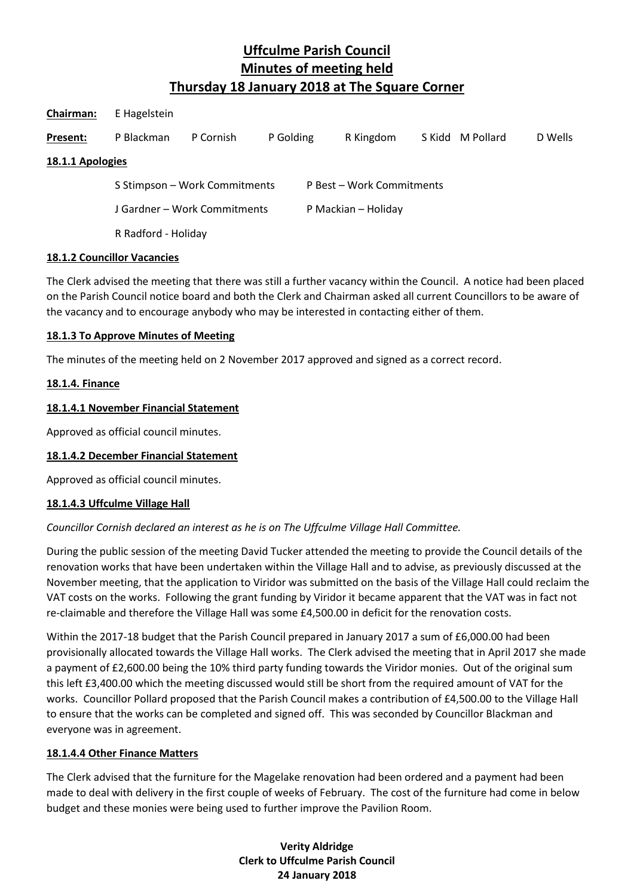| Chairman:        | E Hagelstein                  |           |           |                           |           |  |                  |         |
|------------------|-------------------------------|-----------|-----------|---------------------------|-----------|--|------------------|---------|
| Present:         | P Blackman                    | P Cornish | P Golding |                           | R Kingdom |  | S Kidd M Pollard | D Wells |
| 18.1.1 Apologies |                               |           |           |                           |           |  |                  |         |
|                  | S Stimpson - Work Commitments |           |           | P Best - Work Commitments |           |  |                  |         |
|                  | J Gardner – Work Commitments  |           |           | P Mackian - Holiday       |           |  |                  |         |
|                  | R Radford - Holiday           |           |           |                           |           |  |                  |         |

### **18.1.2 Councillor Vacancies**

The Clerk advised the meeting that there was still a further vacancy within the Council. A notice had been placed on the Parish Council notice board and both the Clerk and Chairman asked all current Councillors to be aware of the vacancy and to encourage anybody who may be interested in contacting either of them.

### **18.1.3 To Approve Minutes of Meeting**

The minutes of the meeting held on 2 November 2017 approved and signed as a correct record.

### **18.1.4. Finance**

### **18.1.4.1 November Financial Statement**

Approved as official council minutes.

## **18.1.4.2 December Financial Statement**

Approved as official council minutes.

#### **18.1.4.3 Uffculme Village Hall**

## *Councillor Cornish declared an interest as he is on The Uffculme Village Hall Committee.*

During the public session of the meeting David Tucker attended the meeting to provide the Council details of the renovation works that have been undertaken within the Village Hall and to advise, as previously discussed at the November meeting, that the application to Viridor was submitted on the basis of the Village Hall could reclaim the VAT costs on the works. Following the grant funding by Viridor it became apparent that the VAT was in fact not re-claimable and therefore the Village Hall was some £4,500.00 in deficit for the renovation costs.

Within the 2017-18 budget that the Parish Council prepared in January 2017 a sum of £6,000.00 had been provisionally allocated towards the Village Hall works. The Clerk advised the meeting that in April 2017 she made a payment of £2,600.00 being the 10% third party funding towards the Viridor monies. Out of the original sum this left £3,400.00 which the meeting discussed would still be short from the required amount of VAT for the works. Councillor Pollard proposed that the Parish Council makes a contribution of £4,500.00 to the Village Hall to ensure that the works can be completed and signed off. This was seconded by Councillor Blackman and everyone was in agreement.

#### **18.1.4.4 Other Finance Matters**

The Clerk advised that the furniture for the Magelake renovation had been ordered and a payment had been made to deal with delivery in the first couple of weeks of February. The cost of the furniture had come in below budget and these monies were being used to further improve the Pavilion Room.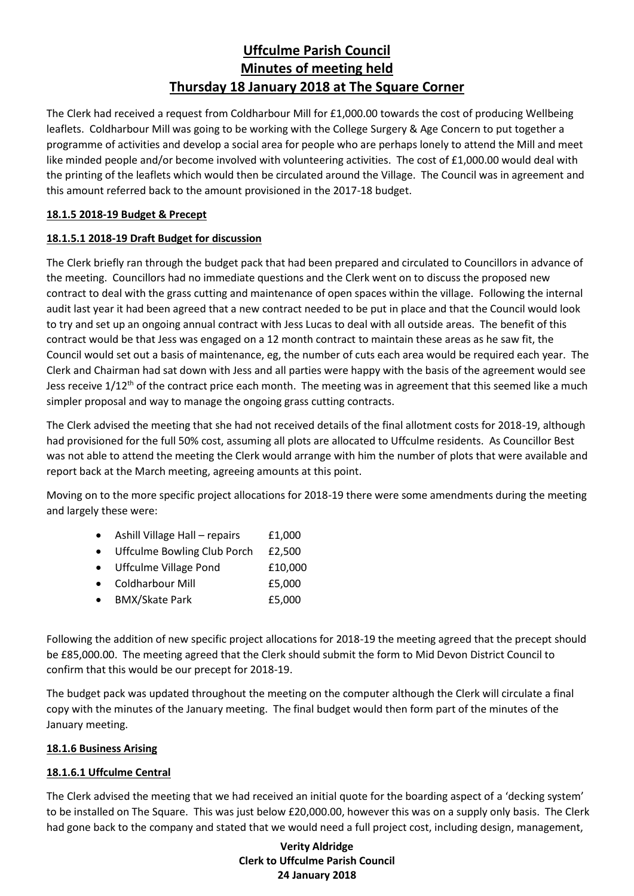The Clerk had received a request from Coldharbour Mill for £1,000.00 towards the cost of producing Wellbeing leaflets. Coldharbour Mill was going to be working with the College Surgery & Age Concern to put together a programme of activities and develop a social area for people who are perhaps lonely to attend the Mill and meet like minded people and/or become involved with volunteering activities. The cost of £1,000.00 would deal with the printing of the leaflets which would then be circulated around the Village. The Council was in agreement and this amount referred back to the amount provisioned in the 2017-18 budget.

## **18.1.5 2018-19 Budget & Precept**

## **18.1.5.1 2018-19 Draft Budget for discussion**

The Clerk briefly ran through the budget pack that had been prepared and circulated to Councillors in advance of the meeting. Councillors had no immediate questions and the Clerk went on to discuss the proposed new contract to deal with the grass cutting and maintenance of open spaces within the village. Following the internal audit last year it had been agreed that a new contract needed to be put in place and that the Council would look to try and set up an ongoing annual contract with Jess Lucas to deal with all outside areas. The benefit of this contract would be that Jess was engaged on a 12 month contract to maintain these areas as he saw fit, the Council would set out a basis of maintenance, eg, the number of cuts each area would be required each year. The Clerk and Chairman had sat down with Jess and all parties were happy with the basis of the agreement would see Jess receive 1/12<sup>th</sup> of the contract price each month. The meeting was in agreement that this seemed like a much simpler proposal and way to manage the ongoing grass cutting contracts.

The Clerk advised the meeting that she had not received details of the final allotment costs for 2018-19, although had provisioned for the full 50% cost, assuming all plots are allocated to Uffculme residents. As Councillor Best was not able to attend the meeting the Clerk would arrange with him the number of plots that were available and report back at the March meeting, agreeing amounts at this point.

Moving on to the more specific project allocations for 2018-19 there were some amendments during the meeting and largely these were:

- Ashill Village Hall repairs £1,000
- Uffculme Bowling Club Porch £2,500
- Uffculme Village Pond £10,000
- Coldharbour Mill £5,000
- BMX/Skate Park £5,000

Following the addition of new specific project allocations for 2018-19 the meeting agreed that the precept should be £85,000.00.The meeting agreed that the Clerk should submit the form to Mid Devon District Council to confirm that this would be our precept for 2018-19.

The budget pack was updated throughout the meeting on the computer although the Clerk will circulate a final copy with the minutes of the January meeting. The final budget would then form part of the minutes of the January meeting.

## **18.1.6 Business Arising**

## **18.1.6.1 Uffculme Central**

The Clerk advised the meeting that we had received an initial quote for the boarding aspect of a 'decking system' to be installed on The Square. This was just below £20,000.00, however this was on a supply only basis. The Clerk had gone back to the company and stated that we would need a full project cost, including design, management,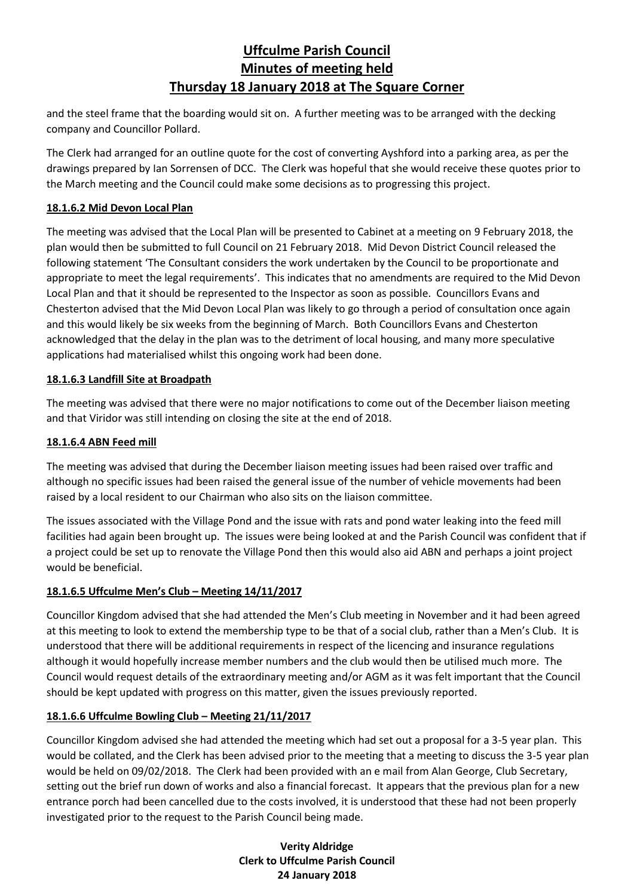and the steel frame that the boarding would sit on. A further meeting was to be arranged with the decking company and Councillor Pollard.

The Clerk had arranged for an outline quote for the cost of converting Ayshford into a parking area, as per the drawings prepared by Ian Sorrensen of DCC. The Clerk was hopeful that she would receive these quotes prior to the March meeting and the Council could make some decisions as to progressing this project.

## **18.1.6.2 Mid Devon Local Plan**

The meeting was advised that the Local Plan will be presented to Cabinet at a meeting on 9 February 2018, the plan would then be submitted to full Council on 21 February 2018. Mid Devon District Council released the following statement 'The Consultant considers the work undertaken by the Council to be proportionate and appropriate to meet the legal requirements'. This indicates that no amendments are required to the Mid Devon Local Plan and that it should be represented to the Inspector as soon as possible. Councillors Evans and Chesterton advised that the Mid Devon Local Plan was likely to go through a period of consultation once again and this would likely be six weeks from the beginning of March. Both Councillors Evans and Chesterton acknowledged that the delay in the plan was to the detriment of local housing, and many more speculative applications had materialised whilst this ongoing work had been done.

## **18.1.6.3 Landfill Site at Broadpath**

The meeting was advised that there were no major notifications to come out of the December liaison meeting and that Viridor was still intending on closing the site at the end of 2018.

## **18.1.6.4 ABN Feed mill**

The meeting was advised that during the December liaison meeting issues had been raised over traffic and although no specific issues had been raised the general issue of the number of vehicle movements had been raised by a local resident to our Chairman who also sits on the liaison committee.

The issues associated with the Village Pond and the issue with rats and pond water leaking into the feed mill facilities had again been brought up. The issues were being looked at and the Parish Council was confident that if a project could be set up to renovate the Village Pond then this would also aid ABN and perhaps a joint project would be beneficial.

## **18.1.6.5 Uffculme Men's Club – Meeting 14/11/2017**

Councillor Kingdom advised that she had attended the Men's Club meeting in November and it had been agreed at this meeting to look to extend the membership type to be that of a social club, rather than a Men's Club. It is understood that there will be additional requirements in respect of the licencing and insurance regulations although it would hopefully increase member numbers and the club would then be utilised much more. The Council would request details of the extraordinary meeting and/or AGM as it was felt important that the Council should be kept updated with progress on this matter, given the issues previously reported.

## **18.1.6.6 Uffculme Bowling Club – Meeting 21/11/2017**

Councillor Kingdom advised she had attended the meeting which had set out a proposal for a 3-5 year plan. This would be collated, and the Clerk has been advised prior to the meeting that a meeting to discuss the 3-5 year plan would be held on 09/02/2018. The Clerk had been provided with an e mail from Alan George, Club Secretary, setting out the brief run down of works and also a financial forecast. It appears that the previous plan for a new entrance porch had been cancelled due to the costs involved, it is understood that these had not been properly investigated prior to the request to the Parish Council being made.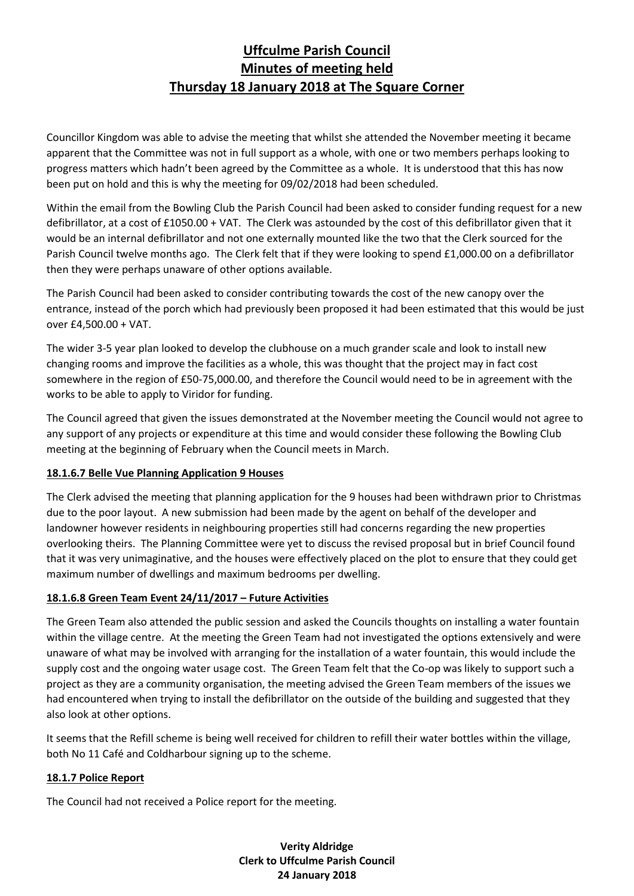Councillor Kingdom was able to advise the meeting that whilst she attended the November meeting it became apparent that the Committee was not in full support as a whole, with one or two members perhaps looking to progress matters which hadn't been agreed by the Committee as a whole. It is understood that this has now been put on hold and this is why the meeting for 09/02/2018 had been scheduled.

Within the email from the Bowling Club the Parish Council had been asked to consider funding request for a new defibrillator, at a cost of £1050.00 + VAT. The Clerk was astounded by the cost of this defibrillator given that it would be an internal defibrillator and not one externally mounted like the two that the Clerk sourced for the Parish Council twelve months ago. The Clerk felt that if they were looking to spend £1,000.00 on a defibrillator then they were perhaps unaware of other options available.

The Parish Council had been asked to consider contributing towards the cost of the new canopy over the entrance, instead of the porch which had previously been proposed it had been estimated that this would be just over £4,500.00 + VAT.

The wider 3-5 year plan looked to develop the clubhouse on a much grander scale and look to install new changing rooms and improve the facilities as a whole, this was thought that the project may in fact cost somewhere in the region of £50-75,000.00, and therefore the Council would need to be in agreement with the works to be able to apply to Viridor for funding.

The Council agreed that given the issues demonstrated at the November meeting the Council would not agree to any support of any projects or expenditure at this time and would consider these following the Bowling Club meeting at the beginning of February when the Council meets in March.

## **18.1.6.7 Belle Vue Planning Application 9 Houses**

The Clerk advised the meeting that planning application for the 9 houses had been withdrawn prior to Christmas due to the poor layout. A new submission had been made by the agent on behalf of the developer and landowner however residents in neighbouring properties still had concerns regarding the new properties overlooking theirs. The Planning Committee were yet to discuss the revised proposal but in brief Council found that it was very unimaginative, and the houses were effectively placed on the plot to ensure that they could get maximum number of dwellings and maximum bedrooms per dwelling.

## **18.1.6.8 Green Team Event 24/11/2017 – Future Activities**

The Green Team also attended the public session and asked the Councils thoughts on installing a water fountain within the village centre. At the meeting the Green Team had not investigated the options extensively and were unaware of what may be involved with arranging for the installation of a water fountain, this would include the supply cost and the ongoing water usage cost. The Green Team felt that the Co-op was likely to support such a project as they are a community organisation, the meeting advised the Green Team members of the issues we had encountered when trying to install the defibrillator on the outside of the building and suggested that they also look at other options.

It seems that the Refill scheme is being well received for children to refill their water bottles within the village, both No 11 Café and Coldharbour signing up to the scheme.

## **18.1.7 Police Report**

The Council had not received a Police report for the meeting.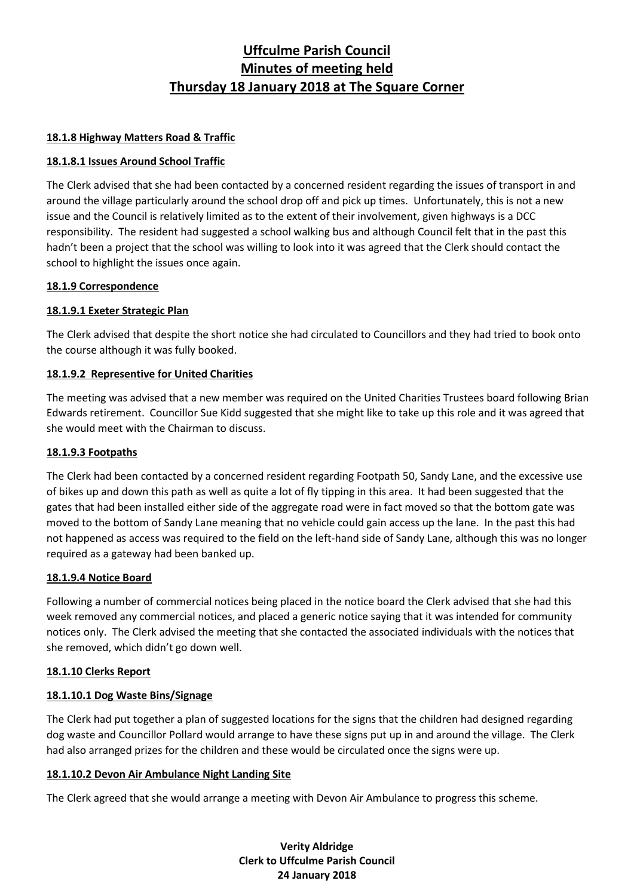## **18.1.8 Highway Matters Road & Traffic**

## **18.1.8.1 Issues Around School Traffic**

The Clerk advised that she had been contacted by a concerned resident regarding the issues of transport in and around the village particularly around the school drop off and pick up times. Unfortunately, this is not a new issue and the Council is relatively limited as to the extent of their involvement, given highways is a DCC responsibility. The resident had suggested a school walking bus and although Council felt that in the past this hadn't been a project that the school was willing to look into it was agreed that the Clerk should contact the school to highlight the issues once again.

## **18.1.9 Correspondence**

## **18.1.9.1 Exeter Strategic Plan**

The Clerk advised that despite the short notice she had circulated to Councillors and they had tried to book onto the course although it was fully booked.

## **18.1.9.2 Representive for United Charities**

The meeting was advised that a new member was required on the United Charities Trustees board following Brian Edwards retirement. Councillor Sue Kidd suggested that she might like to take up this role and it was agreed that she would meet with the Chairman to discuss.

## **18.1.9.3 Footpaths**

The Clerk had been contacted by a concerned resident regarding Footpath 50, Sandy Lane, and the excessive use of bikes up and down this path as well as quite a lot of fly tipping in this area. It had been suggested that the gates that had been installed either side of the aggregate road were in fact moved so that the bottom gate was moved to the bottom of Sandy Lane meaning that no vehicle could gain access up the lane. In the past this had not happened as access was required to the field on the left-hand side of Sandy Lane, although this was no longer required as a gateway had been banked up.

## **18.1.9.4 Notice Board**

Following a number of commercial notices being placed in the notice board the Clerk advised that she had this week removed any commercial notices, and placed a generic notice saying that it was intended for community notices only. The Clerk advised the meeting that she contacted the associated individuals with the notices that she removed, which didn't go down well.

## **18.1.10 Clerks Report**

## **18.1.10.1 Dog Waste Bins/Signage**

The Clerk had put together a plan of suggested locations for the signs that the children had designed regarding dog waste and Councillor Pollard would arrange to have these signs put up in and around the village. The Clerk had also arranged prizes for the children and these would be circulated once the signs were up.

## **18.1.10.2 Devon Air Ambulance Night Landing Site**

The Clerk agreed that she would arrange a meeting with Devon Air Ambulance to progress this scheme.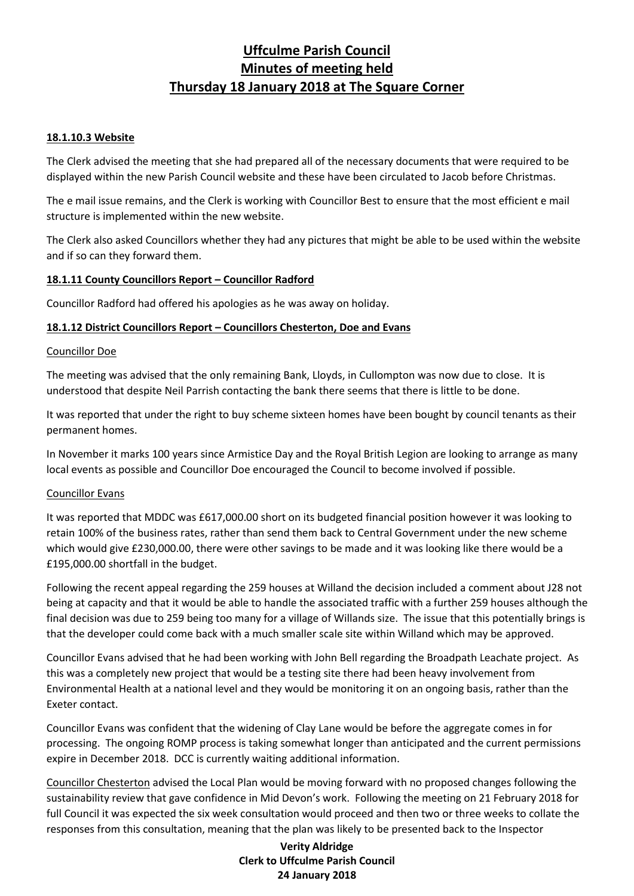### **18.1.10.3 Website**

The Clerk advised the meeting that she had prepared all of the necessary documents that were required to be displayed within the new Parish Council website and these have been circulated to Jacob before Christmas.

The e mail issue remains, and the Clerk is working with Councillor Best to ensure that the most efficient e mail structure is implemented within the new website.

The Clerk also asked Councillors whether they had any pictures that might be able to be used within the website and if so can they forward them.

### **18.1.11 County Councillors Report – Councillor Radford**

Councillor Radford had offered his apologies as he was away on holiday.

### **18.1.12 District Councillors Report – Councillors Chesterton, Doe and Evans**

### Councillor Doe

The meeting was advised that the only remaining Bank, Lloyds, in Cullompton was now due to close. It is understood that despite Neil Parrish contacting the bank there seems that there is little to be done.

It was reported that under the right to buy scheme sixteen homes have been bought by council tenants as their permanent homes.

In November it marks 100 years since Armistice Day and the Royal British Legion are looking to arrange as many local events as possible and Councillor Doe encouraged the Council to become involved if possible.

#### Councillor Evans

It was reported that MDDC was £617,000.00 short on its budgeted financial position however it was looking to retain 100% of the business rates, rather than send them back to Central Government under the new scheme which would give £230,000.00, there were other savings to be made and it was looking like there would be a £195,000.00 shortfall in the budget.

Following the recent appeal regarding the 259 houses at Willand the decision included a comment about J28 not being at capacity and that it would be able to handle the associated traffic with a further 259 houses although the final decision was due to 259 being too many for a village of Willands size. The issue that this potentially brings is that the developer could come back with a much smaller scale site within Willand which may be approved.

Councillor Evans advised that he had been working with John Bell regarding the Broadpath Leachate project. As this was a completely new project that would be a testing site there had been heavy involvement from Environmental Health at a national level and they would be monitoring it on an ongoing basis, rather than the Exeter contact.

Councillor Evans was confident that the widening of Clay Lane would be before the aggregate comes in for processing. The ongoing ROMP process is taking somewhat longer than anticipated and the current permissions expire in December 2018. DCC is currently waiting additional information.

Councillor Chesterton advised the Local Plan would be moving forward with no proposed changes following the sustainability review that gave confidence in Mid Devon's work. Following the meeting on 21 February 2018 for full Council it was expected the six week consultation would proceed and then two or three weeks to collate the responses from this consultation, meaning that the plan was likely to be presented back to the Inspector